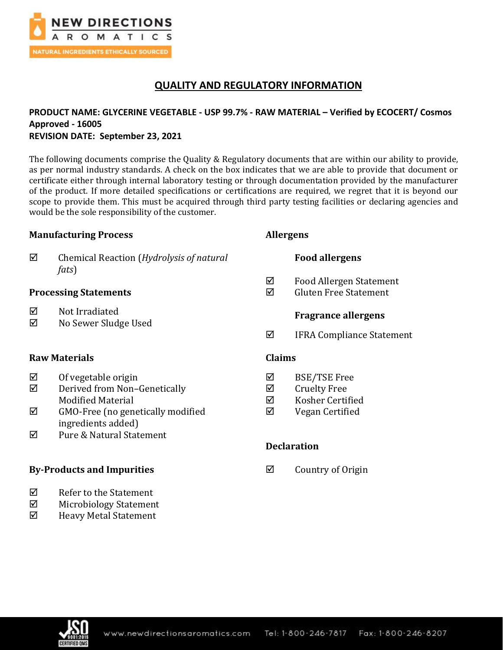

# **QUALITY AND REGULATORY INFORMATION**

## **PRODUCT NAME: GLYCERINE VEGETABLE - USP 99.7% - RAW MATERIAL – Verified by ECOCERT/ Cosmos Approved - 16005 REVISION DATE: September 23, 2021**

The following documents comprise the Quality & Regulatory documents that are within our ability to provide, as per normal industry standards. A check on the box indicates that we are able to provide that document or certificate either through internal laboratory testing or through documentation provided by the manufacturer of the product. If more detailed specifications or certifications are required, we regret that it is beyond our scope to provide them. This must be acquired through third party testing facilities or declaring agencies and would be the sole responsibility of the customer.

### **Manufacturing Process**

 Chemical Reaction (*Hydrolysis of natural fats*)

### **Processing Statements**

- $\boxtimes$  Not Irradiated
- No Sewer Sludge Used

### **Raw Materials**

- $\boxtimes$  Of vegetable origin
- Derived from Non–Genetically Modified Material
- $\boxtimes$  GMO-Free (no genetically modified ingredients added)
- $\overline{M}$  Pure & Natural Statement

### **By-Products and Impurities**

- $\boxtimes$  Refer to the Statement
- Microbiology Statement
- $\boxtimes$  Heavy Metal Statement

### **Allergens**

### **Food allergens**

- Food Allergen Statement
- $\boxtimes$  Gluten Free Statement

### **Fragrance allergens**

 $\boxtimes$  IFRA Compliance Statement

### **Claims**

- BSE/TSE Free
- $\boxtimes$  Cruelty Free
- $\boxtimes$  Kosher Certified
- Vegan Certified

### **Declaration**

 $\boxtimes$  Country of Origin

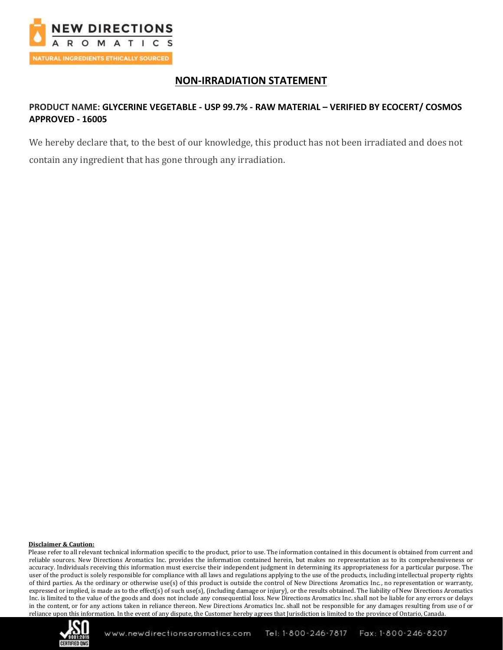

## **NON-IRRADIATION STATEMENT**

## **PRODUCT NAME: GLYCERINE VEGETABLE - USP 99.7% - RAW MATERIAL – VERIFIED BY ECOCERT/ COSMOS APPROVED - 16005**

We hereby declare that, to the best of our knowledge, this product has not been irradiated and does not contain any ingredient that has gone through any irradiation.

#### **Disclaimer & Caution:**

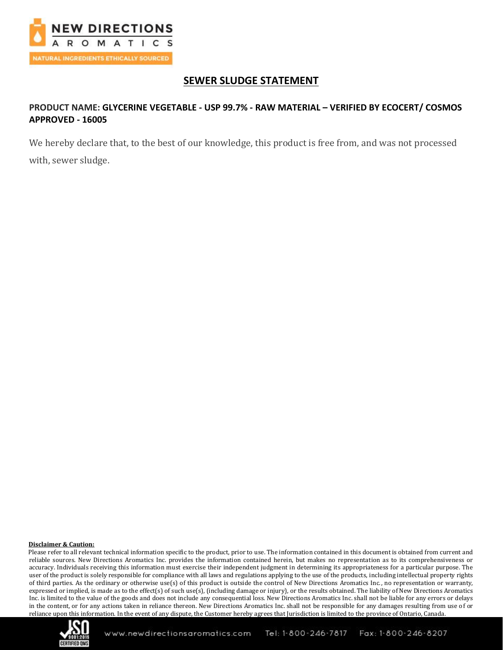

# **SEWER SLUDGE STATEMENT**

## **PRODUCT NAME: GLYCERINE VEGETABLE - USP 99.7% - RAW MATERIAL – VERIFIED BY ECOCERT/ COSMOS APPROVED - 16005**

We hereby declare that, to the best of our knowledge, this product is free from, and was not processed with, sewer sludge.

#### **Disclaimer & Caution:**

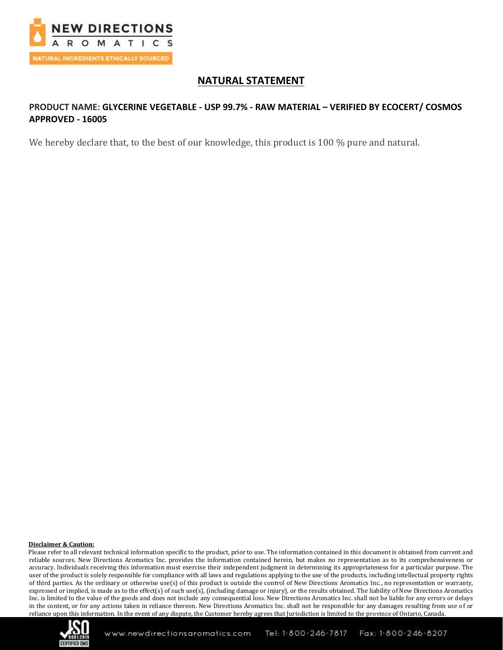

## **NATURAL STATEMENT**

## **PRODUCT NAME: GLYCERINE VEGETABLE - USP 99.7% - RAW MATERIAL – VERIFIED BY ECOCERT/ COSMOS APPROVED - 16005**

We hereby declare that, to the best of our knowledge, this product is 100 % pure and natural.

#### **Disclaimer & Caution:**

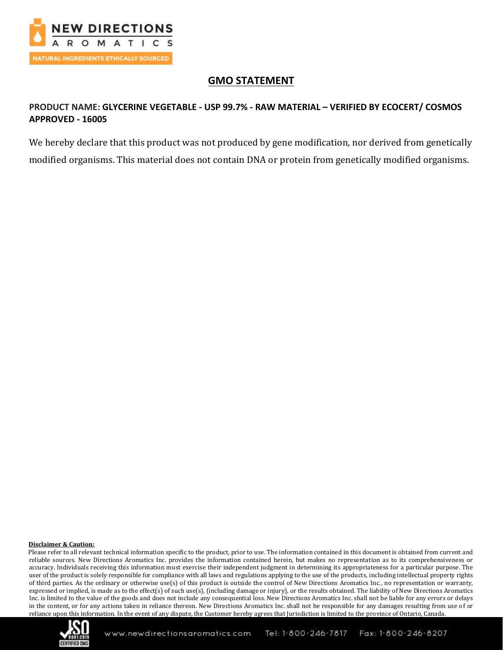

# **GMO STATEMENT**

## **PRODUCT NAME: GLYCERINE VEGETABLE - USP 99.7% - RAW MATERIAL – VERIFIED BY ECOCERT/ COSMOS APPROVED - 16005**

We hereby declare that this product was not produced by gene modification, nor derived from genetically modified organisms. This material does not contain DNA or protein from genetically modified organisms.

#### **Disclaimer & Caution:**

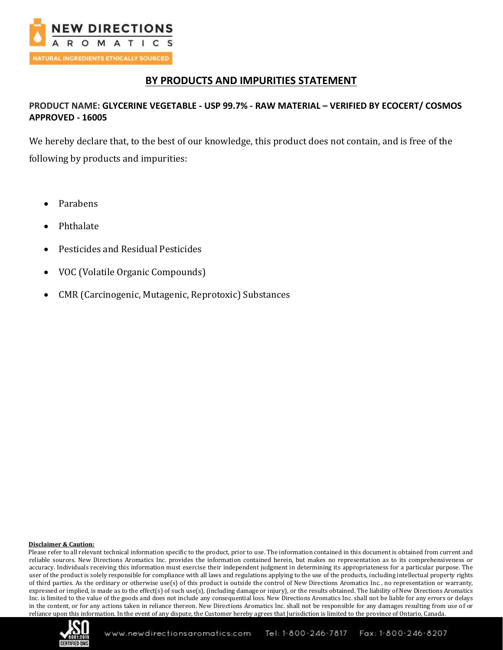

## **BY PRODUCTS AND IMPURITIES STATEMENT**

### **PRODUCT NAME: GLYCERINE VEGETABLE - USP 99.7% - RAW MATERIAL – VERIFIED BY ECOCERT/ COSMOS APPROVED - 16005**

We hereby declare that, to the best of our knowledge, this product does not contain, and is free of the following by products and impurities:

- Parabens
- Phthalate
- Pesticides and Residual Pesticides
- VOC (Volatile Organic Compounds)
- CMR (Carcinogenic, Mutagenic, Reprotoxic) Substances

#### **Disclaimer & Caution:**

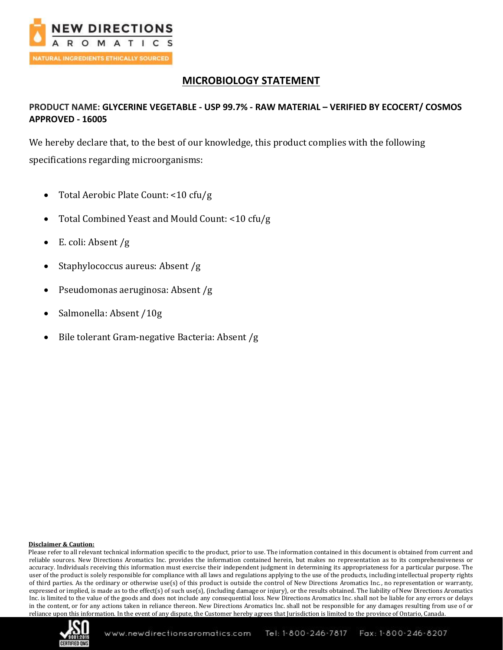

# **MICROBIOLOGY STATEMENT**

## **PRODUCT NAME: GLYCERINE VEGETABLE - USP 99.7% - RAW MATERIAL – VERIFIED BY ECOCERT/ COSMOS APPROVED - 16005**

We hereby declare that, to the best of our knowledge, this product complies with the following specifications regarding microorganisms:

- Total Aerobic Plate Count: <10 cfu/g
- Total Combined Yeast and Mould Count: <10 cfu/g
- E. coli: Absent /g
- Staphylococcus aureus: Absent /g
- Pseudomonas aeruginosa: Absent /g
- Salmonella: Absent /10g
- Bile tolerant Gram-negative Bacteria: Absent /g

#### **Disclaimer & Caution:**

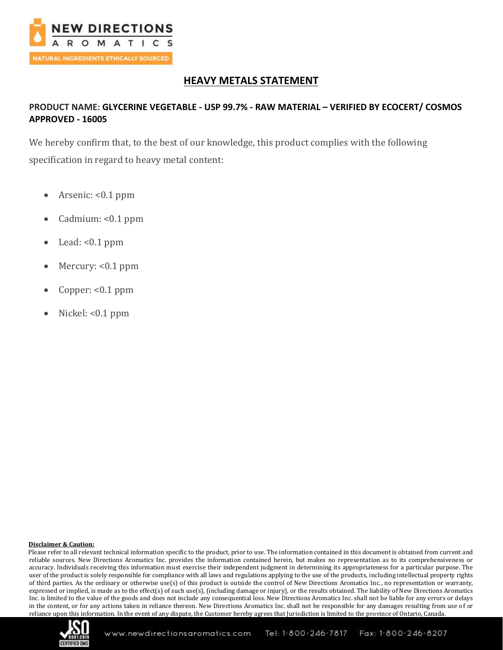

# **HEAVY METALS STATEMENT**

## **PRODUCT NAME: GLYCERINE VEGETABLE - USP 99.7% - RAW MATERIAL – VERIFIED BY ECOCERT/ COSMOS APPROVED - 16005**

We hereby confirm that, to the best of our knowledge, this product complies with the following specification in regard to heavy metal content:

- Arsenic: <0.1 ppm
- Cadmium: <0.1 ppm
- Lead:  $< 0.1$  ppm
- Mercury: <0.1 ppm
- Copper: <0.1 ppm
- Nickel: <0.1 ppm

#### **Disclaimer & Caution:**

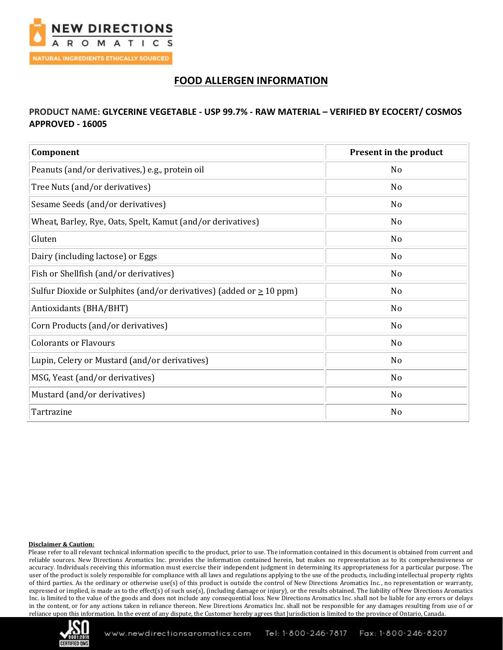

# **FOOD ALLERGEN INFORMATION**

### **PRODUCT NAME: GLYCERINE VEGETABLE - USP 99.7% - RAW MATERIAL – VERIFIED BY ECOCERT/ COSMOS APPROVED - 16005**

| Component                                                                 | Present in the product |
|---------------------------------------------------------------------------|------------------------|
| Peanuts (and/or derivatives,) e.g., protein oil                           | No                     |
| Tree Nuts (and/or derivatives)                                            | N <sub>0</sub>         |
| Sesame Seeds (and/or derivatives)                                         | No                     |
| Wheat, Barley, Rye, Oats, Spelt, Kamut (and/or derivatives)               | No                     |
| Gluten                                                                    | N <sub>0</sub>         |
| Dairy (including lactose) or Eggs                                         | No                     |
| Fish or Shellfish (and/or derivatives)                                    | No                     |
| Sulfur Dioxide or Sulphites (and/or derivatives) (added or $\geq 10$ ppm) | N <sub>0</sub>         |
| Antioxidants (BHA/BHT)                                                    | No                     |
| Corn Products (and/or derivatives)                                        | No                     |
| <b>Colorants or Flavours</b>                                              | No                     |
| Lupin, Celery or Mustard (and/or derivatives)                             | No                     |
| MSG, Yeast (and/or derivatives)                                           | No                     |
| Mustard (and/or derivatives)                                              | No                     |
| Tartrazine                                                                | No                     |

#### **Disclaimer & Caution:**

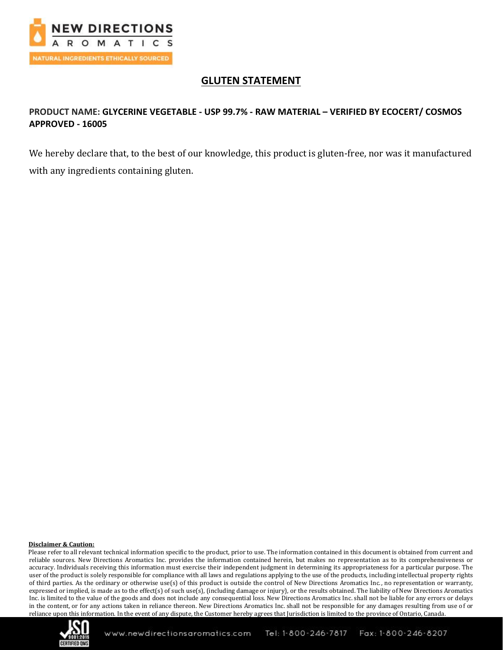

# **GLUTEN STATEMENT**

## **PRODUCT NAME: GLYCERINE VEGETABLE - USP 99.7% - RAW MATERIAL – VERIFIED BY ECOCERT/ COSMOS APPROVED - 16005**

We hereby declare that, to the best of our knowledge, this product is gluten-free, nor was it manufactured with any ingredients containing gluten.

#### **Disclaimer & Caution:**

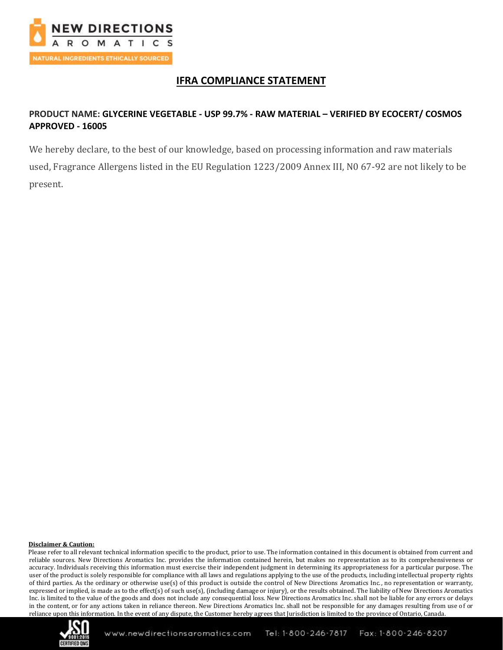

# **IFRA COMPLIANCE STATEMENT**

## **PRODUCT NAME: GLYCERINE VEGETABLE - USP 99.7% - RAW MATERIAL – VERIFIED BY ECOCERT/ COSMOS APPROVED - 16005**

We hereby declare, to the best of our knowledge, based on processing information and raw materials used, Fragrance Allergens listed in the EU Regulation 1223/2009 Annex III, N0 67-92 are not likely to be present.

#### **Disclaimer & Caution:**

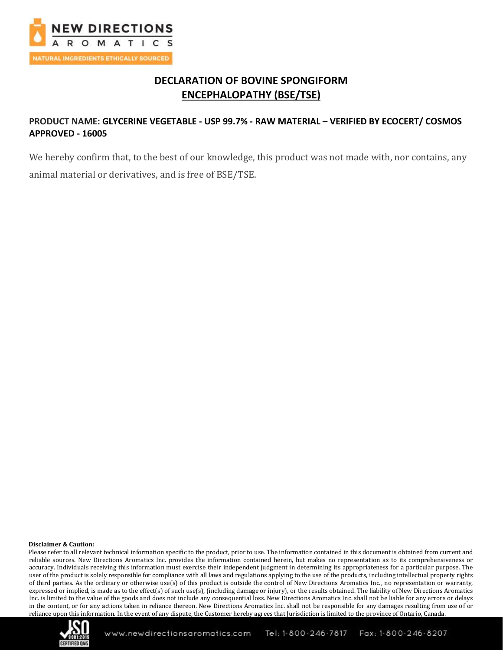

# **DECLARATION OF BOVINE SPONGIFORM ENCEPHALOPATHY (BSE/TSE)**

## **PRODUCT NAME: GLYCERINE VEGETABLE - USP 99.7% - RAW MATERIAL – VERIFIED BY ECOCERT/ COSMOS APPROVED - 16005**

We hereby confirm that, to the best of our knowledge, this product was not made with, nor contains, any animal material or derivatives, and is free of BSE/TSE.

#### **Disclaimer & Caution:**

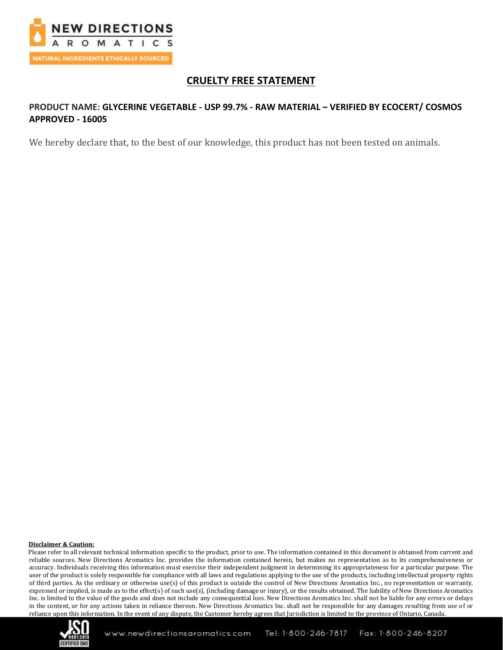

# **CRUELTY FREE STATEMENT**

## **PRODUCT NAME: GLYCERINE VEGETABLE - USP 99.7% - RAW MATERIAL – VERIFIED BY ECOCERT/ COSMOS APPROVED - 16005**

We hereby declare that, to the best of our knowledge, this product has not been tested on animals.

#### **Disclaimer & Caution:**

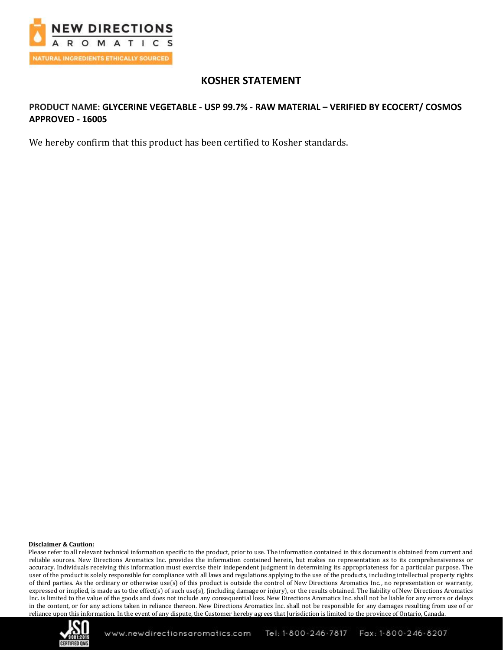

# **KOSHER STATEMENT**

## **PRODUCT NAME: GLYCERINE VEGETABLE - USP 99.7% - RAW MATERIAL – VERIFIED BY ECOCERT/ COSMOS APPROVED - 16005**

We hereby confirm that this product has been certified to Kosher standards.

#### **Disclaimer & Caution:**

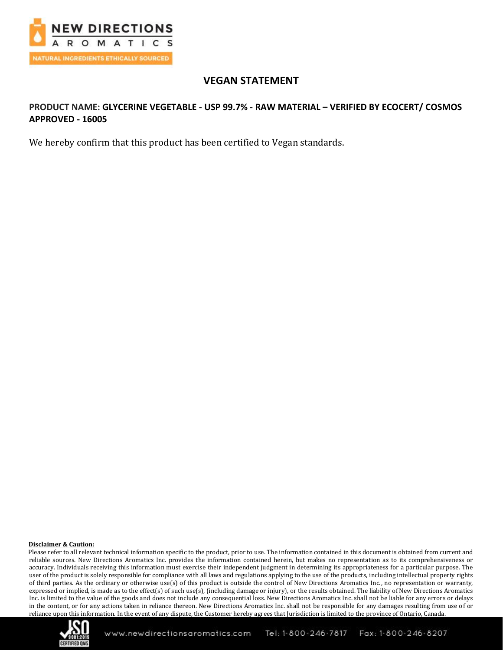

# **VEGAN STATEMENT**

## **PRODUCT NAME: GLYCERINE VEGETABLE - USP 99.7% - RAW MATERIAL – VERIFIED BY ECOCERT/ COSMOS APPROVED - 16005**

We hereby confirm that this product has been certified to Vegan standards.

#### **Disclaimer & Caution:**